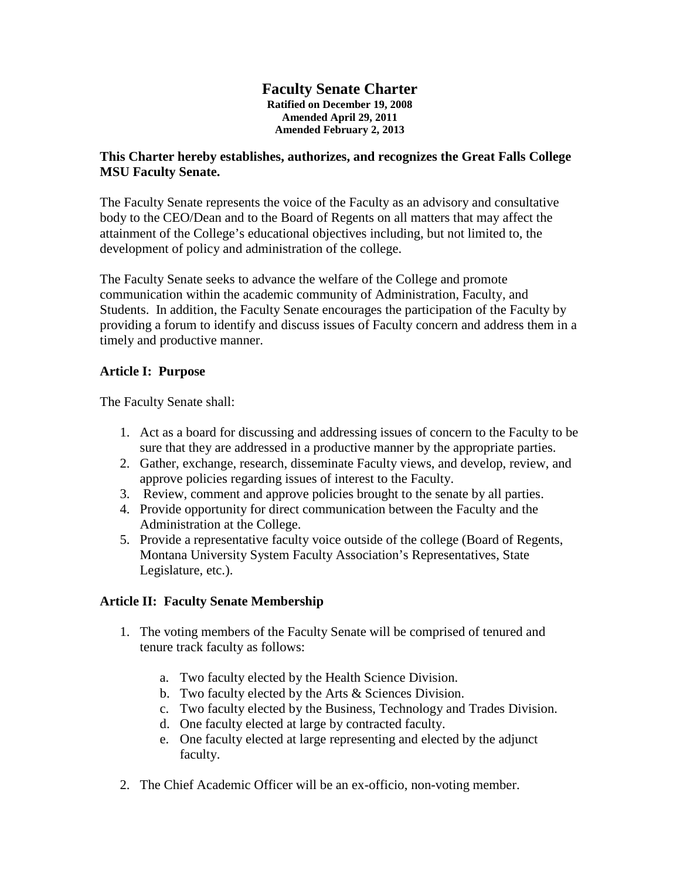#### **Faculty Senate Charter Ratified on December 19, 2008 Amended April 29, 2011 Amended February 2, 2013**

# **This Charter hereby establishes, authorizes, and recognizes the Great Falls College MSU Faculty Senate.**

The Faculty Senate represents the voice of the Faculty as an advisory and consultative body to the CEO/Dean and to the Board of Regents on all matters that may affect the attainment of the College's educational objectives including, but not limited to, the development of policy and administration of the college.

The Faculty Senate seeks to advance the welfare of the College and promote communication within the academic community of Administration, Faculty, and Students. In addition, the Faculty Senate encourages the participation of the Faculty by providing a forum to identify and discuss issues of Faculty concern and address them in a timely and productive manner.

# **Article I: Purpose**

The Faculty Senate shall:

- 1. Act as a board for discussing and addressing issues of concern to the Faculty to be sure that they are addressed in a productive manner by the appropriate parties.
- 2. Gather, exchange, research, disseminate Faculty views, and develop, review, and approve policies regarding issues of interest to the Faculty.
- 3. Review, comment and approve policies brought to the senate by all parties.
- 4. Provide opportunity for direct communication between the Faculty and the Administration at the College.
- 5. Provide a representative faculty voice outside of the college (Board of Regents, Montana University System Faculty Association's Representatives, State Legislature, etc.).

# **Article II: Faculty Senate Membership**

- 1. The voting members of the Faculty Senate will be comprised of tenured and tenure track faculty as follows:
	- a. Two faculty elected by the Health Science Division.
	- b. Two faculty elected by the Arts & Sciences Division.
	- c. Two faculty elected by the Business, Technology and Trades Division.
	- d. One faculty elected at large by contracted faculty.
	- e. One faculty elected at large representing and elected by the adjunct faculty.
- 2. The Chief Academic Officer will be an ex-officio, non-voting member.